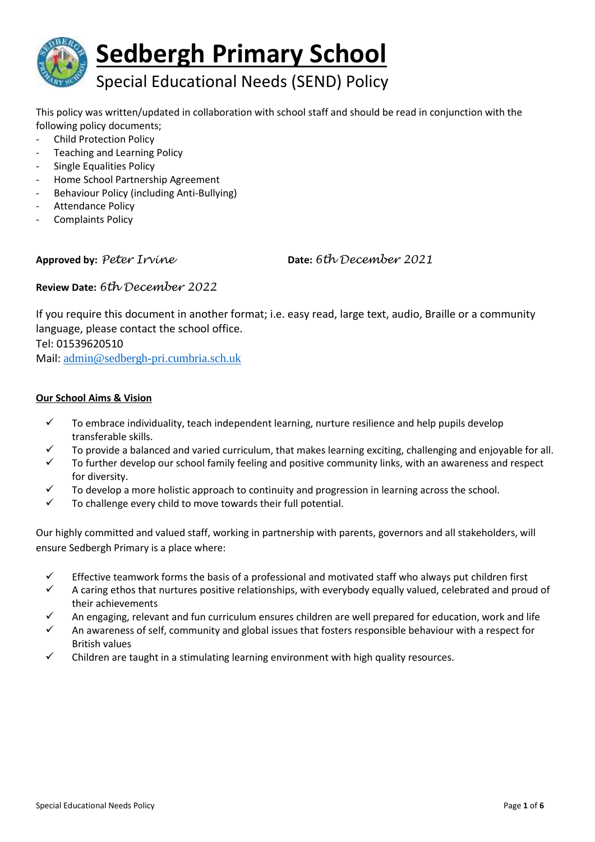

This policy was written/updated in collaboration with school staff and should be read in conjunction with the following policy documents;

- Child Protection Policy
- Teaching and Learning Policy
- Single Equalities Policy
- Home School Partnership Agreement
- Behaviour Policy (including Anti-Bullying)
- Attendance Policy
- Complaints Policy

**Approved by:** *Peter Irvine* **Date:** *6th December 2021*

**Review Date:** *6th December 2022*

If you require this document in another format; i.e. easy read, large text, audio, Braille or a community language, please contact the school office. Tel: 01539620510 Mail: [admin@sedbergh-pri.cumbria.sch.uk](mailto:admin@sedbergh-pri.cumbria.sch.uk)

## **Our School Aims & Vision**

- $\checkmark$  To embrace individuality, teach independent learning, nurture resilience and help pupils develop transferable skills.
- To provide a balanced and varied curriculum, that makes learning exciting, challenging and enjoyable for all.
- $\checkmark$  To further develop our school family feeling and positive community links, with an awareness and respect for diversity.
- $\checkmark$  To develop a more holistic approach to continuity and progression in learning across the school.
- $\checkmark$  To challenge every child to move towards their full potential.

Our highly committed and valued staff, working in partnership with parents, governors and all stakeholders, will ensure Sedbergh Primary is a place where:

- $\checkmark$  Effective teamwork forms the basis of a professional and motivated staff who always put children first
- $\checkmark$  A caring ethos that nurtures positive relationships, with everybody equally valued, celebrated and proud of their achievements
- An engaging, relevant and fun curriculum ensures children are well prepared for education, work and life
- $\checkmark$  An awareness of self, community and global issues that fosters responsible behaviour with a respect for British values
- Children are taught in a stimulating learning environment with high quality resources.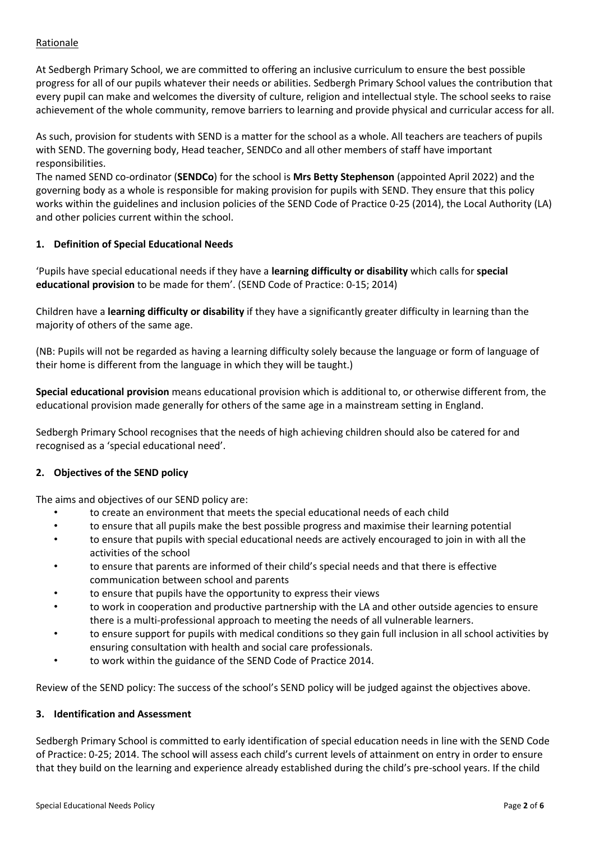## Rationale

At Sedbergh Primary School, we are committed to offering an inclusive curriculum to ensure the best possible progress for all of our pupils whatever their needs or abilities. Sedbergh Primary School values the contribution that every pupil can make and welcomes the diversity of culture, religion and intellectual style. The school seeks to raise achievement of the whole community, remove barriers to learning and provide physical and curricular access for all.

As such, provision for students with SEND is a matter for the school as a whole. All teachers are teachers of pupils with SEND. The governing body, Head teacher, SENDCo and all other members of staff have important responsibilities.

The named SEND co-ordinator (**SENDCo**) for the school is **Mrs Betty Stephenson** (appointed April 2022) and the governing body as a whole is responsible for making provision for pupils with SEND. They ensure that this policy works within the guidelines and inclusion policies of the SEND Code of Practice 0-25 (2014), the Local Authority (LA) and other policies current within the school.

## **1. Definition of Special Educational Needs**

'Pupils have special educational needs if they have a **learning difficulty or disability** which calls for **special educational provision** to be made for them'. (SEND Code of Practice: 0-15; 2014)

Children have a **learning difficulty or disability** if they have a significantly greater difficulty in learning than the majority of others of the same age.

(NB: Pupils will not be regarded as having a learning difficulty solely because the language or form of language of their home is different from the language in which they will be taught.)

**Special educational provision** means educational provision which is additional to, or otherwise different from, the educational provision made generally for others of the same age in a mainstream setting in England.

Sedbergh Primary School recognises that the needs of high achieving children should also be catered for and recognised as a 'special educational need'.

#### **2. Objectives of the SEND policy**

The aims and objectives of our SEND policy are:

- to create an environment that meets the special educational needs of each child
- to ensure that all pupils make the best possible progress and maximise their learning potential
- to ensure that pupils with special educational needs are actively encouraged to join in with all the activities of the school
- to ensure that parents are informed of their child's special needs and that there is effective communication between school and parents
- to ensure that pupils have the opportunity to express their views
- to work in cooperation and productive partnership with the LA and other outside agencies to ensure there is a multi-professional approach to meeting the needs of all vulnerable learners.
- to ensure support for pupils with medical conditions so they gain full inclusion in all school activities by ensuring consultation with health and social care professionals.
- to work within the guidance of the SEND Code of Practice 2014.

Review of the SEND policy: The success of the school's SEND policy will be judged against the objectives above.

#### **3. Identification and Assessment**

Sedbergh Primary School is committed to early identification of special education needs in line with the SEND Code of Practice: 0-25; 2014. The school will assess each child's current levels of attainment on entry in order to ensure that they build on the learning and experience already established during the child's pre-school years. If the child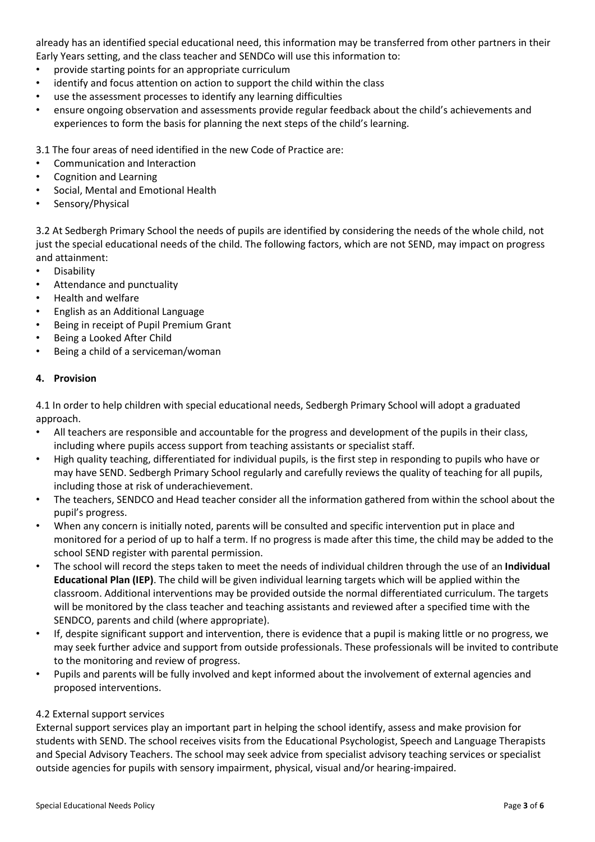already has an identified special educational need, this information may be transferred from other partners in their Early Years setting, and the class teacher and SENDCo will use this information to:

- provide starting points for an appropriate curriculum
- identify and focus attention on action to support the child within the class
- use the assessment processes to identify any learning difficulties
- ensure ongoing observation and assessments provide regular feedback about the child's achievements and experiences to form the basis for planning the next steps of the child's learning.

3.1 The four areas of need identified in the new Code of Practice are:

- Communication and Interaction
- Cognition and Learning
- Social, Mental and Emotional Health
- Sensory/Physical

3.2 At Sedbergh Primary School the needs of pupils are identified by considering the needs of the whole child, not just the special educational needs of the child. The following factors, which are not SEND, may impact on progress and attainment:

- Disability
- Attendance and punctuality
- Health and welfare
- English as an Additional Language
- Being in receipt of Pupil Premium Grant
- Being a Looked After Child
- Being a child of a serviceman/woman

#### **4. Provision**

4.1 In order to help children with special educational needs, Sedbergh Primary School will adopt a graduated approach.

- All teachers are responsible and accountable for the progress and development of the pupils in their class, including where pupils access support from teaching assistants or specialist staff.
- High quality teaching, differentiated for individual pupils, is the first step in responding to pupils who have or may have SEND. Sedbergh Primary School regularly and carefully reviews the quality of teaching for all pupils, including those at risk of underachievement.
- The teachers, SENDCO and Head teacher consider all the information gathered from within the school about the pupil's progress.
- When any concern is initially noted, parents will be consulted and specific intervention put in place and monitored for a period of up to half a term. If no progress is made after this time, the child may be added to the school SEND register with parental permission.
- The school will record the steps taken to meet the needs of individual children through the use of an **Individual Educational Plan (IEP)**. The child will be given individual learning targets which will be applied within the classroom. Additional interventions may be provided outside the normal differentiated curriculum. The targets will be monitored by the class teacher and teaching assistants and reviewed after a specified time with the SENDCO, parents and child (where appropriate).
- If, despite significant support and intervention, there is evidence that a pupil is making little or no progress, we may seek further advice and support from outside professionals. These professionals will be invited to contribute to the monitoring and review of progress.
- Pupils and parents will be fully involved and kept informed about the involvement of external agencies and proposed interventions.

#### 4.2 External support services

External support services play an important part in helping the school identify, assess and make provision for students with SEND. The school receives visits from the Educational Psychologist, Speech and Language Therapists and Special Advisory Teachers. The school may seek advice from specialist advisory teaching services or specialist outside agencies for pupils with sensory impairment, physical, visual and/or hearing-impaired.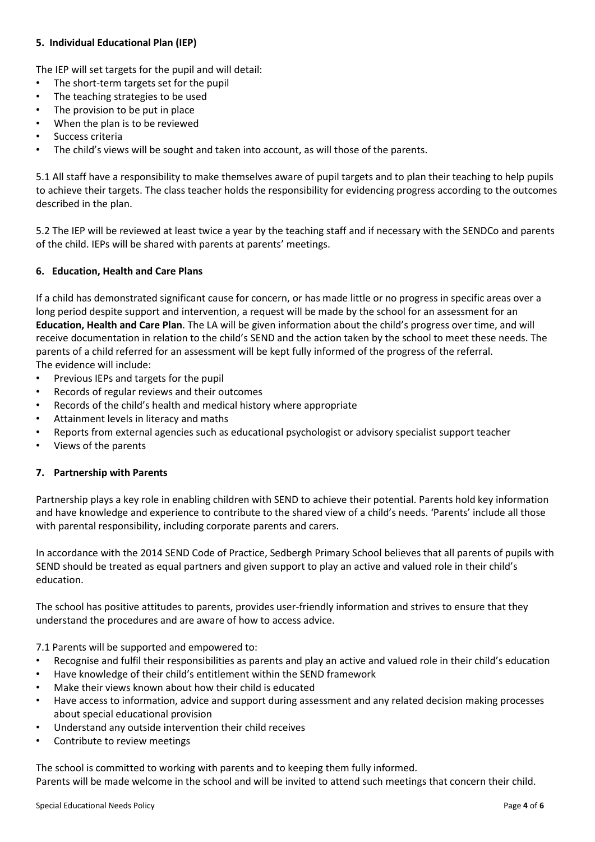# **5. Individual Educational Plan (IEP)**

The IEP will set targets for the pupil and will detail:

- The short-term targets set for the pupil
- The teaching strategies to be used
- The provision to be put in place
- When the plan is to be reviewed
- Success criteria
- The child's views will be sought and taken into account, as will those of the parents.

5.1 All staff have a responsibility to make themselves aware of pupil targets and to plan their teaching to help pupils to achieve their targets. The class teacher holds the responsibility for evidencing progress according to the outcomes described in the plan.

5.2 The IEP will be reviewed at least twice a year by the teaching staff and if necessary with the SENDCo and parents of the child. IEPs will be shared with parents at parents' meetings.

#### **6. Education, Health and Care Plans**

If a child has demonstrated significant cause for concern, or has made little or no progress in specific areas over a long period despite support and intervention, a request will be made by the school for an assessment for an **Education, Health and Care Plan**. The LA will be given information about the child's progress over time, and will receive documentation in relation to the child's SEND and the action taken by the school to meet these needs. The parents of a child referred for an assessment will be kept fully informed of the progress of the referral. The evidence will include:

- Previous IEPs and targets for the pupil
- Records of regular reviews and their outcomes
- Records of the child's health and medical history where appropriate
- Attainment levels in literacy and maths
- Reports from external agencies such as educational psychologist or advisory specialist support teacher
- Views of the parents

#### **7. Partnership with Parents**

Partnership plays a key role in enabling children with SEND to achieve their potential. Parents hold key information and have knowledge and experience to contribute to the shared view of a child's needs. 'Parents' include all those with parental responsibility, including corporate parents and carers.

In accordance with the 2014 SEND Code of Practice, Sedbergh Primary School believes that all parents of pupils with SEND should be treated as equal partners and given support to play an active and valued role in their child's education.

The school has positive attitudes to parents, provides user-friendly information and strives to ensure that they understand the procedures and are aware of how to access advice.

7.1 Parents will be supported and empowered to:

- Recognise and fulfil their responsibilities as parents and play an active and valued role in their child's education
- Have knowledge of their child's entitlement within the SEND framework
- Make their views known about how their child is educated
- Have access to information, advice and support during assessment and any related decision making processes about special educational provision
- Understand any outside intervention their child receives
- Contribute to review meetings

The school is committed to working with parents and to keeping them fully informed. Parents will be made welcome in the school and will be invited to attend such meetings that concern their child.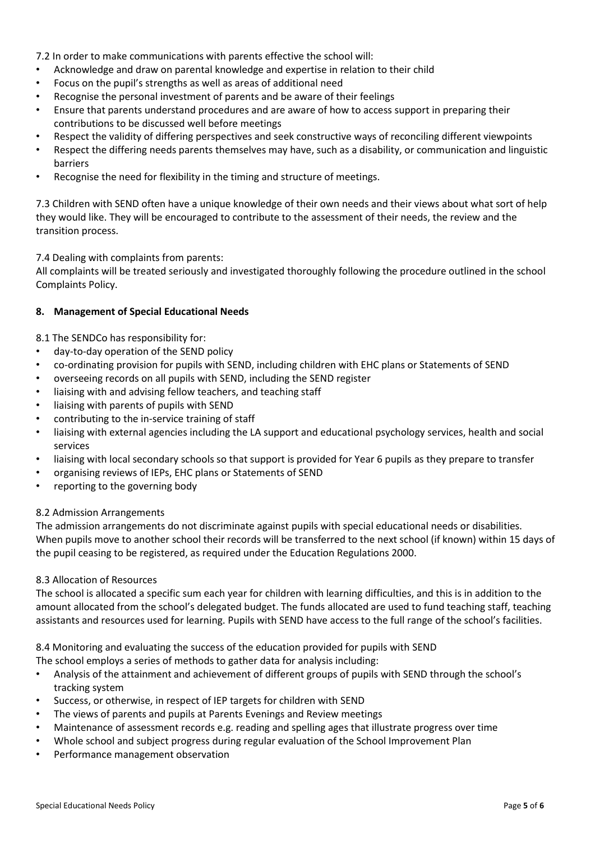7.2 In order to make communications with parents effective the school will:

- Acknowledge and draw on parental knowledge and expertise in relation to their child
- Focus on the pupil's strengths as well as areas of additional need
- Recognise the personal investment of parents and be aware of their feelings
- Ensure that parents understand procedures and are aware of how to access support in preparing their contributions to be discussed well before meetings
- Respect the validity of differing perspectives and seek constructive ways of reconciling different viewpoints
- Respect the differing needs parents themselves may have, such as a disability, or communication and linguistic barriers
- Recognise the need for flexibility in the timing and structure of meetings.

7.3 Children with SEND often have a unique knowledge of their own needs and their views about what sort of help they would like. They will be encouraged to contribute to the assessment of their needs, the review and the transition process.

7.4 Dealing with complaints from parents:

All complaints will be treated seriously and investigated thoroughly following the procedure outlined in the school Complaints Policy.

## **8. Management of Special Educational Needs**

8.1 The SENDCo has responsibility for:

- day-to-day operation of the SEND policy
- co-ordinating provision for pupils with SEND, including children with EHC plans or Statements of SEND
- overseeing records on all pupils with SEND, including the SEND register
- liaising with and advising fellow teachers, and teaching staff
- liaising with parents of pupils with SEND
- contributing to the in-service training of staff
- liaising with external agencies including the LA support and educational psychology services, health and social services
- liaising with local secondary schools so that support is provided for Year 6 pupils as they prepare to transfer
- organising reviews of IEPs, EHC plans or Statements of SEND
- reporting to the governing body

#### 8.2 Admission Arrangements

The admission arrangements do not discriminate against pupils with special educational needs or disabilities. When pupils move to another school their records will be transferred to the next school (if known) within 15 days of the pupil ceasing to be registered, as required under the Education Regulations 2000.

#### 8.3 Allocation of Resources

The school is allocated a specific sum each year for children with learning difficulties, and this is in addition to the amount allocated from the school's delegated budget. The funds allocated are used to fund teaching staff, teaching assistants and resources used for learning. Pupils with SEND have access to the full range of the school's facilities.

8.4 Monitoring and evaluating the success of the education provided for pupils with SEND

- The school employs a series of methods to gather data for analysis including:
- Analysis of the attainment and achievement of different groups of pupils with SEND through the school's tracking system
- Success, or otherwise, in respect of IEP targets for children with SEND
- The views of parents and pupils at Parents Evenings and Review meetings
- Maintenance of assessment records e.g. reading and spelling ages that illustrate progress over time
- Whole school and subject progress during regular evaluation of the School Improvement Plan
- Performance management observation